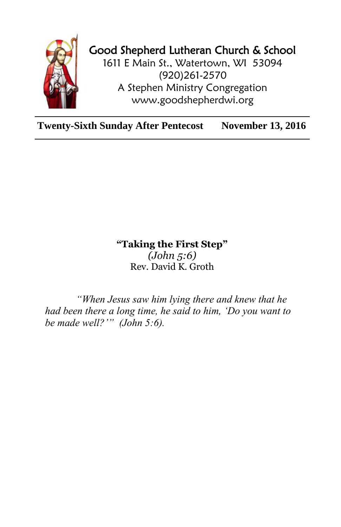

## Good Shepherd Lutheran Church & School

1611 E Main St., Watertown, WI 53094 (920)261-2570 A Stephen Ministry Congregation [www.goodshepherdwi.org](http://www.goodshepherdwi.org/)

**Twenty-Sixth Sunday After Pentecost November 13, 2016**

## **"Taking the First Step"** *(John 5:6)* Rev. David K. Groth

*"When Jesus saw him lying there and knew that he had been there a long time, he said to him, 'Do you want to be made well?'" (John 5:6).*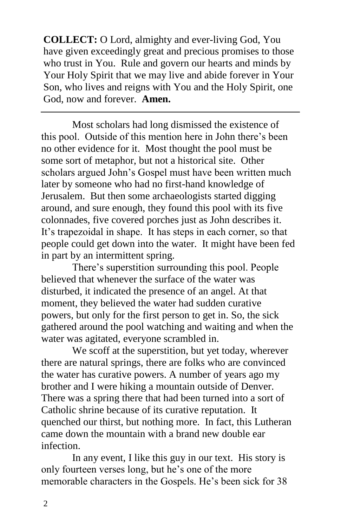**COLLECT:** O Lord, almighty and ever-living God, You have given exceedingly great and precious promises to those who trust in You. Rule and govern our hearts and minds by Your Holy Spirit that we may live and abide forever in Your Son, who lives and reigns with You and the Holy Spirit, one God, now and forever. **Amen.**

Most scholars had long dismissed the existence of this pool. Outside of this mention here in John there's been no other evidence for it. Most thought the pool must be some sort of metaphor, but not a historical site. Other scholars argued John's Gospel must have been written much later by someone who had no first-hand knowledge of Jerusalem. But then some archaeologists started digging around, and sure enough, they found this pool with its five colonnades, five covered porches just as John describes it. It's trapezoidal in shape. It has steps in each corner, so that people could get down into the water. It might have been fed in part by an intermittent spring.

There's superstition surrounding this pool. People believed that whenever the surface of the water was disturbed, it indicated the presence of an angel. At that moment, they believed the water had sudden curative powers, but only for the first person to get in. So, the sick gathered around the pool watching and waiting and when the water was agitated, everyone scrambled in.

We scoff at the superstition, but yet today, wherever there are natural springs, there are folks who are convinced the water has curative powers. A number of years ago my brother and I were hiking a mountain outside of Denver. There was a spring there that had been turned into a sort of Catholic shrine because of its curative reputation. It quenched our thirst, but nothing more. In fact, this Lutheran came down the mountain with a brand new double ear infection.

In any event, I like this guy in our text. His story is only fourteen verses long, but he's one of the more memorable characters in the Gospels. He's been sick for 38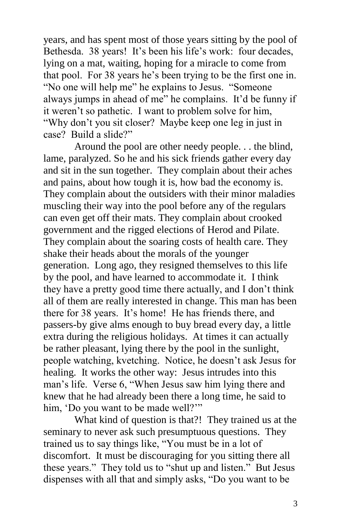years, and has spent most of those years sitting by the pool of Bethesda. 38 years! It's been his life's work: four decades, lying on a mat, waiting, hoping for a miracle to come from that pool. For 38 years he's been trying to be the first one in. "No one will help me" he explains to Jesus. "Someone always jumps in ahead of me" he complains. It'd be funny if it weren't so pathetic. I want to problem solve for him, "Why don't you sit closer? Maybe keep one leg in just in case? Build a slide?"

Around the pool are other needy people. . . the blind, lame, paralyzed. So he and his sick friends gather every day and sit in the sun together. They complain about their aches and pains, about how tough it is, how bad the economy is. They complain about the outsiders with their minor maladies muscling their way into the pool before any of the regulars can even get off their mats. They complain about crooked government and the rigged elections of Herod and Pilate. They complain about the soaring costs of health care. They shake their heads about the morals of the younger generation. Long ago, they resigned themselves to this life by the pool, and have learned to accommodate it. I think they have a pretty good time there actually, and I don't think all of them are really interested in change. This man has been there for 38 years. It's home! He has friends there, and passers-by give alms enough to buy bread every day, a little extra during the religious holidays. At times it can actually be rather pleasant, lying there by the pool in the sunlight, people watching, kvetching. Notice, he doesn't ask Jesus for healing. It works the other way: Jesus intrudes into this man's life. Verse 6, "When Jesus saw him lying there and knew that he had already been there a long time, he said to him, 'Do you want to be made well?'"

What kind of question is that?! They trained us at the seminary to never ask such presumptuous questions. They trained us to say things like, "You must be in a lot of discomfort. It must be discouraging for you sitting there all these years." They told us to "shut up and listen." But Jesus dispenses with all that and simply asks, "Do you want to be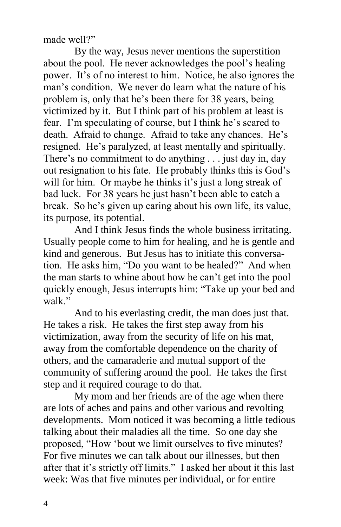made well?"

By the way, Jesus never mentions the superstition about the pool. He never acknowledges the pool's healing power. It's of no interest to him. Notice, he also ignores the man's condition. We never do learn what the nature of his problem is, only that he's been there for 38 years, being victimized by it. But I think part of his problem at least is fear. I'm speculating of course, but I think he's scared to death. Afraid to change. Afraid to take any chances. He's resigned. He's paralyzed, at least mentally and spiritually. There's no commitment to do anything . . . just day in, day out resignation to his fate. He probably thinks this is God's will for him. Or maybe he thinks it's just a long streak of bad luck. For 38 years he just hasn't been able to catch a break. So he's given up caring about his own life, its value, its purpose, its potential.

And I think Jesus finds the whole business irritating. Usually people come to him for healing, and he is gentle and kind and generous. But Jesus has to initiate this conversation. He asks him, "Do you want to be healed?" And when the man starts to whine about how he can't get into the pool quickly enough, Jesus interrupts him: "Take up your bed and walk"

And to his everlasting credit, the man does just that. He takes a risk. He takes the first step away from his victimization, away from the security of life on his mat, away from the comfortable dependence on the charity of others, and the camaraderie and mutual support of the community of suffering around the pool. He takes the first step and it required courage to do that.

My mom and her friends are of the age when there are lots of aches and pains and other various and revolting developments. Mom noticed it was becoming a little tedious talking about their maladies all the time. So one day she proposed, "How 'bout we limit ourselves to five minutes? For five minutes we can talk about our illnesses, but then after that it's strictly off limits." I asked her about it this last week: Was that five minutes per individual, or for entire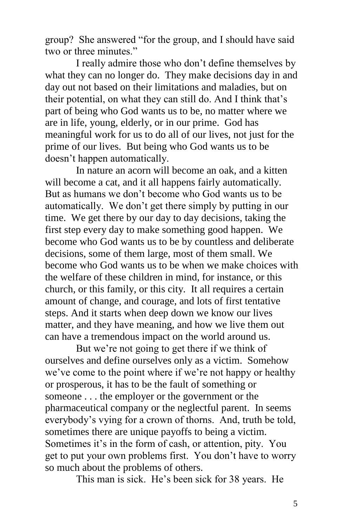group? She answered "for the group, and I should have said two or three minutes."

I really admire those who don't define themselves by what they can no longer do. They make decisions day in and day out not based on their limitations and maladies, but on their potential, on what they can still do. And I think that's part of being who God wants us to be, no matter where we are in life, young, elderly, or in our prime. God has meaningful work for us to do all of our lives, not just for the prime of our lives. But being who God wants us to be doesn't happen automatically.

In nature an acorn will become an oak, and a kitten will become a cat, and it all happens fairly automatically. But as humans we don't become who God wants us to be automatically. We don't get there simply by putting in our time. We get there by our day to day decisions, taking the first step every day to make something good happen. We become who God wants us to be by countless and deliberate decisions, some of them large, most of them small. We become who God wants us to be when we make choices with the welfare of these children in mind, for instance, or this church, or this family, or this city. It all requires a certain amount of change, and courage, and lots of first tentative steps. And it starts when deep down we know our lives matter, and they have meaning, and how we live them out can have a tremendous impact on the world around us.

But we're not going to get there if we think of ourselves and define ourselves only as a victim. Somehow we've come to the point where if we're not happy or healthy or prosperous, it has to be the fault of something or someone . . . the employer or the government or the pharmaceutical company or the neglectful parent. In seems everybody's vying for a crown of thorns. And, truth be told, sometimes there are unique payoffs to being a victim. Sometimes it's in the form of cash, or attention, pity. You get to put your own problems first. You don't have to worry so much about the problems of others.

This man is sick. He's been sick for 38 years. He

5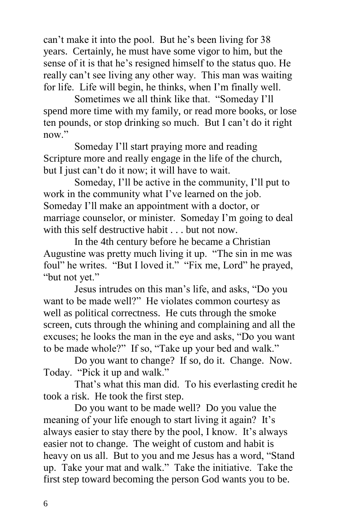can't make it into the pool. But he's been living for 38 years. Certainly, he must have some vigor to him, but the sense of it is that he's resigned himself to the status quo. He really can't see living any other way. This man was waiting for life. Life will begin, he thinks, when I'm finally well.

Sometimes we all think like that. "Someday I'll spend more time with my family, or read more books, or lose ten pounds, or stop drinking so much. But I can't do it right now."

Someday I'll start praying more and reading Scripture more and really engage in the life of the church, but I just can't do it now; it will have to wait.

Someday, I'll be active in the community, I'll put to work in the community what I've learned on the job. Someday I'll make an appointment with a doctor, or marriage counselor, or minister. Someday I'm going to deal with this self destructive habit . . . but not now.

In the 4th century before he became a Christian Augustine was pretty much living it up. "The sin in me was foul" he writes. "But I loved it." "Fix me, Lord" he prayed, "but not yet."

Jesus intrudes on this man's life, and asks, "Do you want to be made well?" He violates common courtesy as well as political correctness. He cuts through the smoke screen, cuts through the whining and complaining and all the excuses; he looks the man in the eye and asks, "Do you want to be made whole?" If so, "Take up your bed and walk."

Do you want to change? If so, do it. Change. Now. Today. "Pick it up and walk."

That's what this man did. To his everlasting credit he took a risk. He took the first step.

Do you want to be made well? Do you value the meaning of your life enough to start living it again? It's always easier to stay there by the pool, I know. It's always easier not to change. The weight of custom and habit is heavy on us all. But to you and me Jesus has a word, "Stand up. Take your mat and walk." Take the initiative. Take the first step toward becoming the person God wants you to be.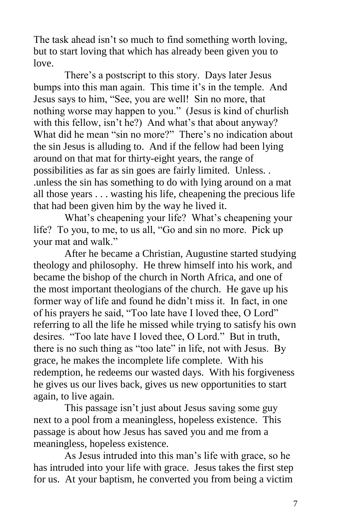The task ahead isn't so much to find something worth loving, but to start loving that which has already been given you to love.

There's a postscript to this story. Days later Jesus bumps into this man again. This time it's in the temple. And Jesus says to him, "See, you are well! Sin no more, that nothing worse may happen to you." (Jesus is kind of churlish with this fellow, isn't he?) And what's that about anyway? What did he mean "sin no more?" There's no indication about the sin Jesus is alluding to. And if the fellow had been lying around on that mat for thirty-eight years, the range of possibilities as far as sin goes are fairly limited. Unless. . .unless the sin has something to do with lying around on a mat all those years . . . wasting his life, cheapening the precious life that had been given him by the way he lived it.

What's cheapening your life? What's cheapening your life? To you, to me, to us all, "Go and sin no more. Pick up your mat and walk."

After he became a Christian, Augustine started studying theology and philosophy. He threw himself into his work, and became the bishop of the church in North Africa, and one of the most important theologians of the church. He gave up his former way of life and found he didn't miss it. In fact, in one of his prayers he said, "Too late have I loved thee, O Lord" referring to all the life he missed while trying to satisfy his own desires. "Too late have I loved thee, O Lord." But in truth, there is no such thing as "too late" in life, not with Jesus. By grace, he makes the incomplete life complete. With his redemption, he redeems our wasted days. With his forgiveness he gives us our lives back, gives us new opportunities to start again, to live again.

This passage isn't just about Jesus saving some guy next to a pool from a meaningless, hopeless existence. This passage is about how Jesus has saved you and me from a meaningless, hopeless existence.

As Jesus intruded into this man's life with grace, so he has intruded into your life with grace. Jesus takes the first step for us. At your baptism, he converted you from being a victim